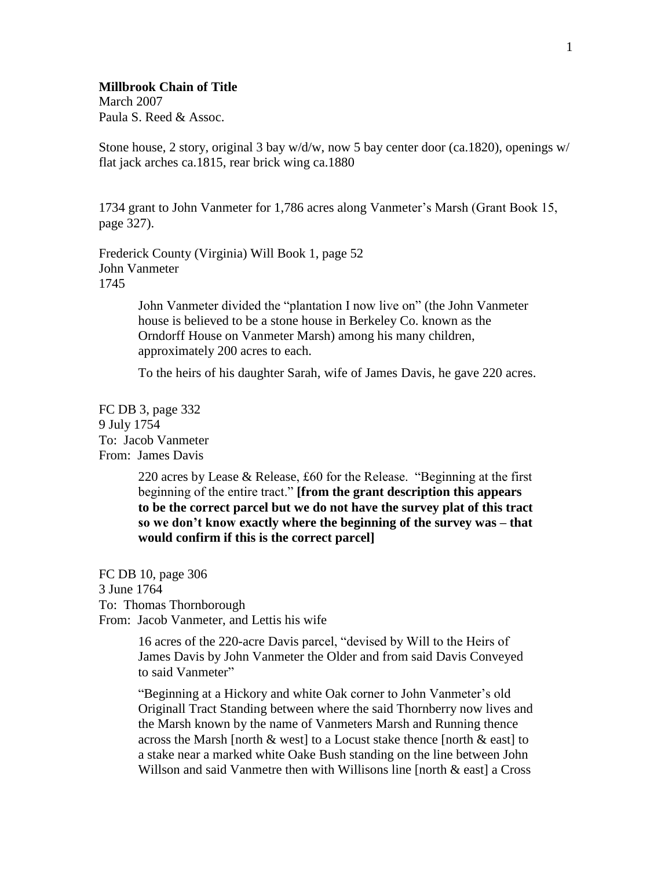## **Millbrook Chain of Title**

March 2007 Paula S. Reed & Assoc.

Stone house, 2 story, original 3 bay  $w/d/w$ , now 5 bay center door (ca.1820), openings  $w/$ flat jack arches ca.1815, rear brick wing ca.1880

1734 grant to John Vanmeter for 1,786 acres along Vanmeter's Marsh (Grant Book 15, page 327).

Frederick County (Virginia) Will Book 1, page 52 John Vanmeter 1745

> John Vanmeter divided the "plantation I now live on" (the John Vanmeter house is believed to be a stone house in Berkeley Co. known as the Orndorff House on Vanmeter Marsh) among his many children, approximately 200 acres to each.

To the heirs of his daughter Sarah, wife of James Davis, he gave 220 acres.

FC DB 3, page 332 9 July 1754 To: Jacob Vanmeter From: James Davis

> 220 acres by Lease & Release, £60 for the Release. "Beginning at the first beginning of the entire tract." **[from the grant description this appears to be the correct parcel but we do not have the survey plat of this tract so we don't know exactly where the beginning of the survey was – that would confirm if this is the correct parcel]**

FC DB 10, page 306 3 June 1764 To: Thomas Thornborough From: Jacob Vanmeter, and Lettis his wife

> 16 acres of the 220-acre Davis parcel, "devised by Will to the Heirs of James Davis by John Vanmeter the Older and from said Davis Conveyed to said Vanmeter"

"Beginning at a Hickory and white Oak corner to John Vanmeter's old Originall Tract Standing between where the said Thornberry now lives and the Marsh known by the name of Vanmeters Marsh and Running thence across the Marsh [north  $\&$  west] to a Locust stake thence [north  $\&$  east] to a stake near a marked white Oake Bush standing on the line between John Willson and said Vanmetre then with Willisons line [north & east] a Cross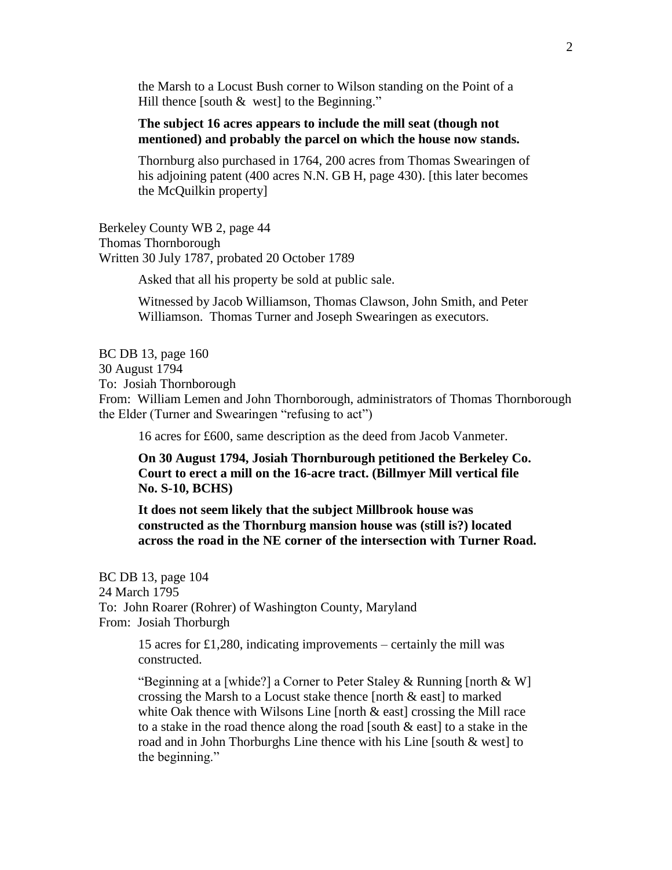the Marsh to a Locust Bush corner to Wilson standing on the Point of a Hill thence [south  $\&$  west] to the Beginning."

## **The subject 16 acres appears to include the mill seat (though not mentioned) and probably the parcel on which the house now stands.**

Thornburg also purchased in 1764, 200 acres from Thomas Swearingen of his adjoining patent (400 acres N.N. GB H, page 430). [this later becomes the McQuilkin property]

Berkeley County WB 2, page 44 Thomas Thornborough Written 30 July 1787, probated 20 October 1789

Asked that all his property be sold at public sale.

Witnessed by Jacob Williamson, Thomas Clawson, John Smith, and Peter Williamson. Thomas Turner and Joseph Swearingen as executors.

BC DB 13, page 160 30 August 1794 To: Josiah Thornborough From: William Lemen and John Thornborough, administrators of Thomas Thornborough

the Elder (Turner and Swearingen "refusing to act") 16 acres for £600, same description as the deed from Jacob Vanmeter.

**On 30 August 1794, Josiah Thornburough petitioned the Berkeley Co. Court to erect a mill on the 16-acre tract. (Billmyer Mill vertical file No. S-10, BCHS)**

**It does not seem likely that the subject Millbrook house was constructed as the Thornburg mansion house was (still is?) located across the road in the NE corner of the intersection with Turner Road.**

BC DB 13, page 104 24 March 1795 To: John Roarer (Rohrer) of Washington County, Maryland From: Josiah Thorburgh

> 15 acres for £1,280, indicating improvements – certainly the mill was constructed.

"Beginning at a [whide?] a Corner to Peter Staley & Running [north & W] crossing the Marsh to a Locust stake thence [north & east] to marked white Oak thence with Wilsons Line [north  $\&$  east] crossing the Mill race to a stake in the road thence along the road [south & east] to a stake in the road and in John Thorburghs Line thence with his Line [south & west] to the beginning."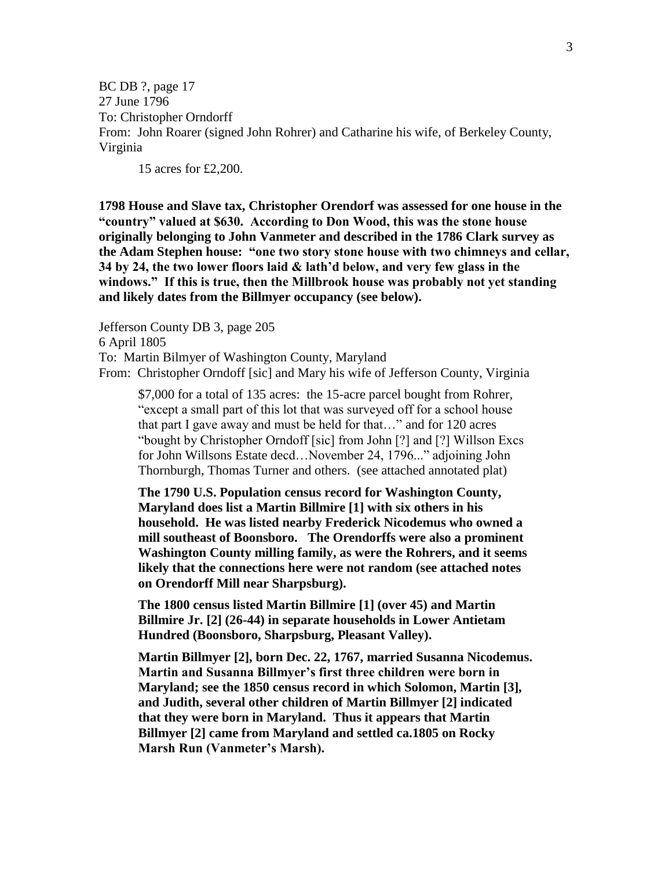BC DB ?, page 17 27 June 1796 To: Christopher Orndorff From: John Roarer (signed John Rohrer) and Catharine his wife, of Berkeley County, Virginia

15 acres for £2,200.

**1798 House and Slave tax, Christopher Orendorf was assessed for one house in the "country" valued at \$630. According to Don Wood, this was the stone house originally belonging to John Vanmeter and described in the 1786 Clark survey as the Adam Stephen house: "one two story stone house with two chimneys and cellar, 34 by 24, the two lower floors laid & lath'd below, and very few glass in the windows." If this is true, then the Millbrook house was probably not yet standing and likely dates from the Billmyer occupancy (see below).**

Jefferson County DB 3, page 205 6 April 1805 To: Martin Bilmyer of Washington County, Maryland From: Christopher Orndoff [sic] and Mary his wife of Jefferson County, Virginia

\$7,000 for a total of 135 acres: the 15-acre parcel bought from Rohrer, "except a small part of this lot that was surveyed off for a school house that part I gave away and must be held for that…" and for 120 acres "bought by Christopher Orndoff [sic] from John [?] and [?] Willson Excs for John Willsons Estate decd…November 24, 1796..." adjoining John Thornburgh, Thomas Turner and others. (see attached annotated plat)

**The 1790 U.S. Population census record for Washington County, Maryland does list a Martin Billmire [1] with six others in his household. He was listed nearby Frederick Nicodemus who owned a mill southeast of Boonsboro. The Orendorffs were also a prominent Washington County milling family, as were the Rohrers, and it seems likely that the connections here were not random (see attached notes on Orendorff Mill near Sharpsburg).**

**The 1800 census listed Martin Billmire [1] (over 45) and Martin Billmire Jr. [2] (26-44) in separate households in Lower Antietam Hundred (Boonsboro, Sharpsburg, Pleasant Valley).** 

**Martin Billmyer [2], born Dec. 22, 1767, married Susanna Nicodemus. Martin and Susanna Billmyer's first three children were born in Maryland; see the 1850 census record in which Solomon, Martin [3], and Judith, several other children of Martin Billmyer [2] indicated that they were born in Maryland. Thus it appears that Martin Billmyer [2] came from Maryland and settled ca.1805 on Rocky Marsh Run (Vanmeter's Marsh).**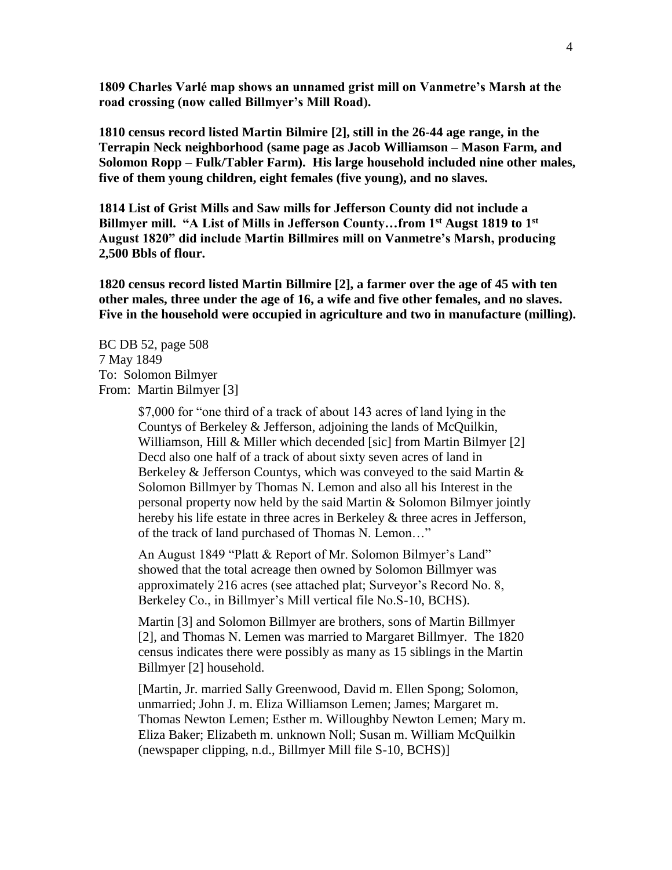**1809 Charles Varlé map shows an unnamed grist mill on Vanmetre's Marsh at the road crossing (now called Billmyer's Mill Road).**

**1810 census record listed Martin Bilmire [2], still in the 26-44 age range, in the Terrapin Neck neighborhood (same page as Jacob Williamson – Mason Farm, and Solomon Ropp – Fulk/Tabler Farm). His large household included nine other males, five of them young children, eight females (five young), and no slaves.**

**1814 List of Grist Mills and Saw mills for Jefferson County did not include a Billmyer mill. "A List of Mills in Jefferson County…from 1st Augst 1819 to 1st August 1820" did include Martin Billmires mill on Vanmetre's Marsh, producing 2,500 Bbls of flour.**

**1820 census record listed Martin Billmire [2], a farmer over the age of 45 with ten other males, three under the age of 16, a wife and five other females, and no slaves. Five in the household were occupied in agriculture and two in manufacture (milling).**

BC DB 52, page 508 7 May 1849 To: Solomon Bilmyer From: Martin Bilmyer [3]

> \$7,000 for "one third of a track of about 143 acres of land lying in the Countys of Berkeley & Jefferson, adjoining the lands of McQuilkin, Williamson, Hill & Miller which decended [sic] from Martin Bilmyer [2] Decd also one half of a track of about sixty seven acres of land in Berkeley & Jefferson Countys, which was conveyed to the said Martin & Solomon Billmyer by Thomas N. Lemon and also all his Interest in the personal property now held by the said Martin & Solomon Bilmyer jointly hereby his life estate in three acres in Berkeley & three acres in Jefferson, of the track of land purchased of Thomas N. Lemon…"

An August 1849 "Platt & Report of Mr. Solomon Bilmyer's Land" showed that the total acreage then owned by Solomon Billmyer was approximately 216 acres (see attached plat; Surveyor's Record No. 8, Berkeley Co., in Billmyer's Mill vertical file No.S-10, BCHS).

Martin [3] and Solomon Billmyer are brothers, sons of Martin Billmyer [2], and Thomas N. Lemen was married to Margaret Billmyer. The 1820 census indicates there were possibly as many as 15 siblings in the Martin Billmyer [2] household.

[Martin, Jr. married Sally Greenwood, David m. Ellen Spong; Solomon, unmarried; John J. m. Eliza Williamson Lemen; James; Margaret m. Thomas Newton Lemen; Esther m. Willoughby Newton Lemen; Mary m. Eliza Baker; Elizabeth m. unknown Noll; Susan m. William McQuilkin (newspaper clipping, n.d., Billmyer Mill file S-10, BCHS)]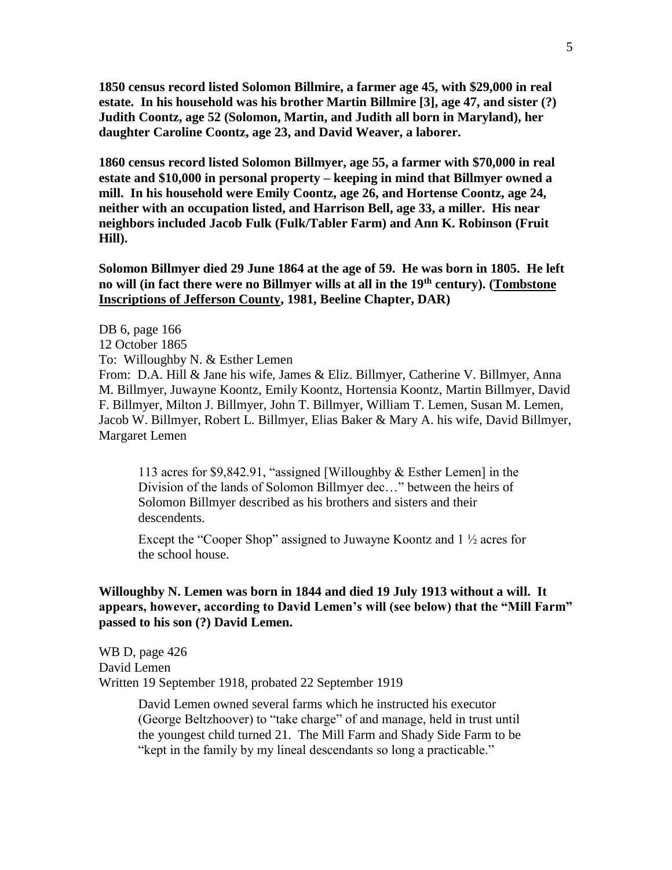**1850 census record listed Solomon Billmire, a farmer age 45, with \$29,000 in real estate. In his household was his brother Martin Billmire [3], age 47, and sister (?) Judith Coontz, age 52 (Solomon, Martin, and Judith all born in Maryland), her daughter Caroline Coontz, age 23, and David Weaver, a laborer.**

**1860 census record listed Solomon Billmyer, age 55, a farmer with \$70,000 in real estate and \$10,000 in personal property – keeping in mind that Billmyer owned a mill. In his household were Emily Coontz, age 26, and Hortense Coontz, age 24, neither with an occupation listed, and Harrison Bell, age 33, a miller. His near neighbors included Jacob Fulk (Fulk/Tabler Farm) and Ann K. Robinson (Fruit Hill).**

**Solomon Billmyer died 29 June 1864 at the age of 59. He was born in 1805. He left no will (in fact there were no Billmyer wills at all in the 19th century). (Tombstone Inscriptions of Jefferson County, 1981, Beeline Chapter, DAR)**

DB 6, page 166 12 October 1865 To: Willoughby N. & Esther Lemen From: D.A. Hill & Jane his wife, James & Eliz. Billmyer, Catherine V. Billmyer, Anna M. Billmyer, Juwayne Koontz, Emily Koontz, Hortensia Koontz, Martin Billmyer, David F. Billmyer, Milton J. Billmyer, John T. Billmyer, William T. Lemen, Susan M. Lemen, Jacob W. Billmyer, Robert L. Billmyer, Elias Baker & Mary A. his wife, David Billmyer, Margaret Lemen

113 acres for \$9,842.91, "assigned [Willoughby & Esther Lemen] in the Division of the lands of Solomon Billmyer dec…" between the heirs of Solomon Billmyer described as his brothers and sisters and their descendents.

Except the "Cooper Shop" assigned to Juwayne Koontz and 1 ½ acres for the school house.

## **Willoughby N. Lemen was born in 1844 and died 19 July 1913 without a will. It appears, however, according to David Lemen's will (see below) that the "Mill Farm" passed to his son (?) David Lemen.**

WB D, page 426 David Lemen Written 19 September 1918, probated 22 September 1919

> David Lemen owned several farms which he instructed his executor (George Beltzhoover) to "take charge" of and manage, held in trust until the youngest child turned 21. The Mill Farm and Shady Side Farm to be "kept in the family by my lineal descendants so long a practicable."